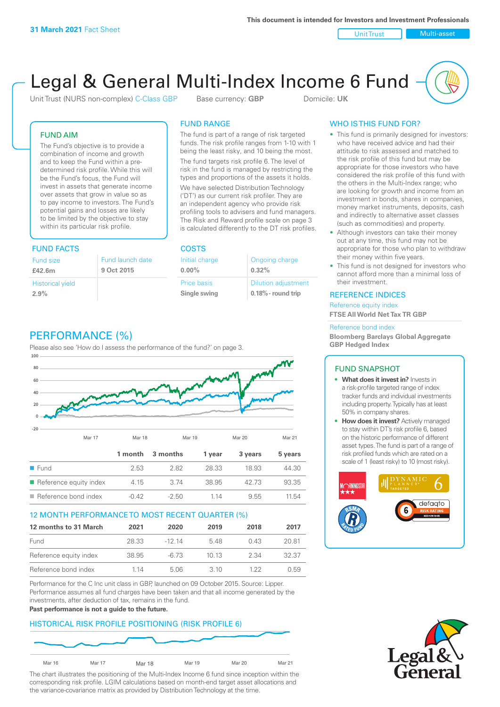Unit Trust Nulti-asset

# Legal & General Multi-Index Income 6 Fund

Unit Trust (NURS non-complex) C-Class GBP Base currency: **GBP** Domicile: UK

# FUND AIM

The Fund's objective is to provide a combination of income and growth and to keep the Fund within a predetermined risk profile. While this will be the Fund's focus, the Fund will invest in assets that generate income over assets that grow in value so as to pay income to investors. The Fund's potential gains and losses are likely to be limited by the objective to stay within its particular risk profile.

# FUND FACTS COSTS

| Fund size                       | Fund launch date |
|---------------------------------|------------------|
| £42.6m                          | 9 Oct 2015       |
| <b>Historical yield</b><br>2.9% |                  |

# FUND RANGE

The fund is part of a range of risk targeted funds. The risk profile ranges from 1-10 with 1 being the least risky, and 10 being the most.

The fund targets risk profile 6. The level of risk in the fund is managed by restricting the types and proportions of the assets it holds. We have selected Distribution Technology ('DT') as our current risk profiler. They are an independent agency who provide risk profiling tools to advisers and fund managers. The Risk and Reward profile scale on page 3 is calculated differently to the DT risk profiles.

**0.00%**

| Initial charge | Ongoing charge             |
|----------------|----------------------------|
| $0.00\%$       | 0.32%                      |
| Price basis    | <b>Dilution adjustment</b> |
| Single swing   | $0.18\%$ - round trip      |

# PERFORMANCE (%)

Please also see 'How do I assess the performance of the fund?' on page 3.



# 12 MONTH PERFORMANCE TO MOST RECENT QUARTER (%)

| 12 months to 31 March  | 2021  | 2020   | 2019 | 2018 | 2017  |
|------------------------|-------|--------|------|------|-------|
| Fund                   | 28.33 | -12 14 | 548  | 0.43 | 20.81 |
| Reference equity index | 38.95 | -6.73  | 1013 | 2.34 | 32.37 |
| Reference bond index   | 1 14  | 5.06   | 3 10 | 1 22 | 0.59  |

Performance for the C Inc unit class in GBP, launched on 09 October 2015. Source: Lipper. Performance assumes all fund charges have been taken and that all income generated by the investments, after deduction of tax, remains in the fund.

#### **Past performance is not a guide to the future.**

# HISTORICAL RISK PROFILE POSITIONING (RISK PROFILE 6)



The chart illustrates the positioning of the Multi-Index Income 6 fund since inception within the corresponding risk profile. LGIM calculations based on month-end target asset allocations and the variance-covariance matrix as provided by Distribution Technology at the time.

# WHO IS THIS FUND FOR?

- This fund is primarily designed for investors: who have received advice and had their attitude to risk assessed and matched to the risk profile of this fund but may be appropriate for those investors who have considered the risk profile of this fund with the others in the Multi-Index range; who are looking for growth and income from an investment in bonds, shares in companies, money market instruments, deposits, cash and indirectly to alternative asset classes (such as commodities) and property.
- Although investors can take their money out at any time, this fund may not be appropriate for those who plan to withdraw their money within five years.
- This fund is not designed for investors who cannot afford more than a minimal loss of their investment.

# REFERENCE INDICES

Reference equity index **FTSE All World Net Tax TR GBP**

#### Reference bond index

**Bloomberg Barclays Global Aggregate GBP Hedged Index**

# FUND SNAPSHOT

- **• What does it invest in?** Invests in a risk-profile targeted range of index tracker funds and individual investments including property. Typically has at least 50% in company shares.
- **• How does it invest?** Actively managed to stay within DT's risk profile 6, based on the historic performance of different asset types. The fund is part of a range of risk profiled funds which are rated on a scale of 1 (least risky) to 10 (most risky).



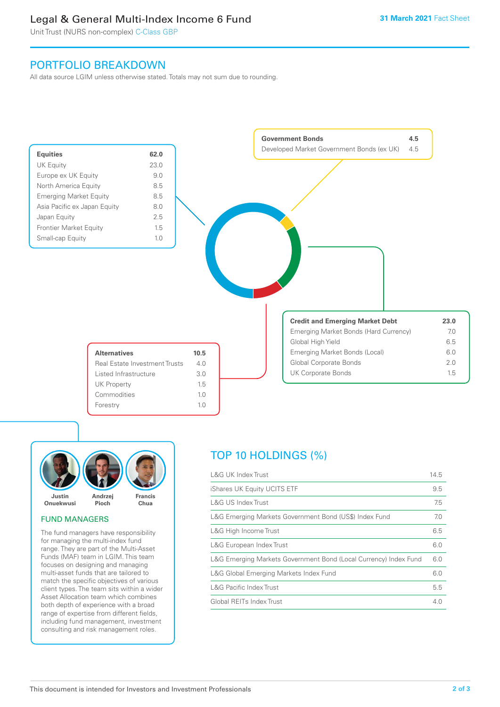# Legal & General Multi-Index Income 6 Fund

Unit Trust (NURS non-complex) C-Class GBP

# PORTFOLIO BREAKDOWN

All data source LGIM unless otherwise stated. Totals may not sum due to rounding.





# FUND MANAGERS

The fund managers have responsibility for managing the multi-index fund range. They are part of the Multi-Asset Funds (MAF) team in LGIM. This team focuses on designing and managing multi-asset funds that are tailored to match the specific objectives of various client types. The team sits within a wider Asset Allocation team which combines both depth of experience with a broad range of expertise from different fields, including fund management, investment consulting and risk management roles.

# TOP 10 HOLDINGS (%)

| <b>L&amp;G UK Index Trust</b>                                    | 14.5 |
|------------------------------------------------------------------|------|
| iShares UK Equity UCITS ETF                                      | 9.5  |
| L&G US Index Trust                                               | 7.5  |
| L&G Emerging Markets Government Bond (US\$) Index Fund           | 7.0  |
| L&G High Income Trust                                            | 6.5  |
| L&G European Index Trust                                         | 6.0  |
| L&G Emerging Markets Government Bond (Local Currency) Index Fund | 6.0  |
| L&G Global Emerging Markets Index Fund                           | 6.0  |
| <b>L&amp;G Pacific Index Trust</b>                               | 5.5  |
| Global REITs Index Trust                                         | 4.0  |